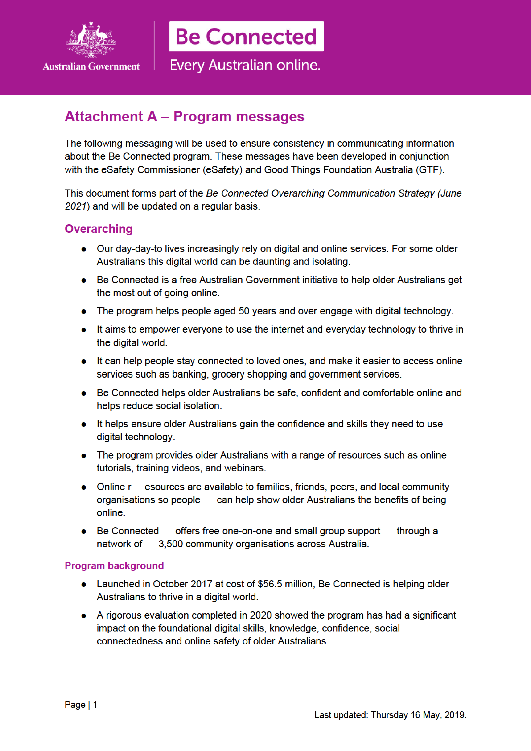

**Be Connected** 

Every Australian online.

# **Attachment A - Program messages**

The following messaging will be used to ensure consistency in communicating information about the Be Connected program. These messages have been developed in conjunction with the eSafety Commissioner (eSafety) and Good Things Foundation Australia (GTF).

This document forms part of the Be Connected Overarching Communication Strategy (June 2021) and will be updated on a regular basis.

# **Overarching**

- Our day-day-to lives increasingly rely on digital and online services. For some older  $\bullet$ Australians this digital world can be daunting and isolating.
- Be Connected is a free Australian Government initiative to help older Australians get  $\bullet$ the most out of going online.
- The program helps people aged 50 years and over engage with digital technology.
- It aims to empower everyone to use the internet and everyday technology to thrive in  $\bullet$ the digital world.
- It can help people stay connected to loved ones, and make it easier to access online services such as banking, grocery shopping and government services.
- Be Connected helps older Australians be safe, confident and comfortable online and  $\bullet$ helps reduce social isolation.
- It helps ensure older Australians gain the confidence and skills they need to use  $\bullet$ digital technology.
- The program provides older Australians with a range of resources such as online tutorials, training videos, and webinars.
- esources are available to families, friends, peers, and local community Online r organisations so people can help show older Australians the benefits of being online.
- **Be Connected** offers free one-on-one and small group support through a network of 3.500 community organisations across Australia.

#### **Program background**

- Launched in October 2017 at cost of \$56.5 million, Be Connected is helping older Australians to thrive in a digital world.
- A rigorous evaluation completed in 2020 showed the program has had a significant impact on the foundational digital skills, knowledge, confidence, social connectedness and online safety of older Australians.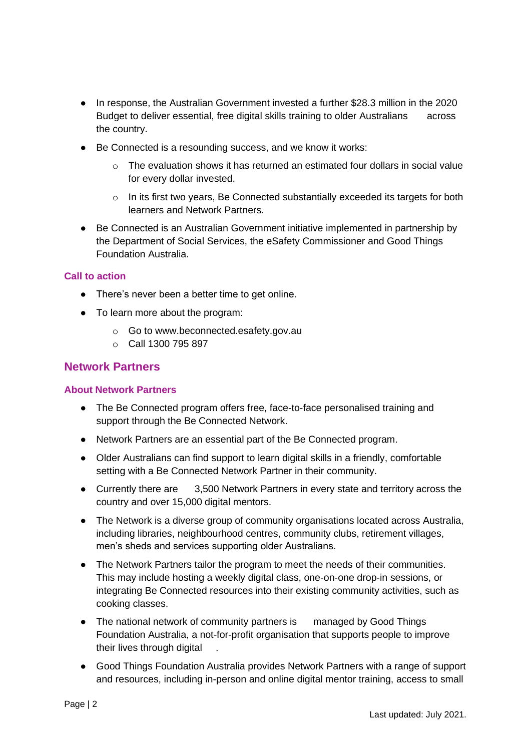- In response, the Australian Government invested a further \$28.3 million in the 2020 Budget to deliver essential, free digital skills training to older Australians across the country.
- Be Connected is a resounding success, and we know it works:
	- $\circ$  The evaluation shows it has returned an estimated four dollars in social value for every dollar invested.
	- $\circ$  In its first two years, Be Connected substantially exceeded its targets for both learners and Network Partners.
- Be Connected is an Australian Government initiative implemented in partnership by the Department of Social Services, the eSafety Commissioner and Good Things Foundation Australia.

## **Call to action**

- There's never been a better time to get online.
- To learn more about the program:
	- o Go to www.beconnected.esafety.gov.au
	- o Call 1300 795 897

# **Network Partners**

#### **About Network Partners**

- The Be Connected program offers free, face-to-face personalised training and support through the Be Connected Network.
- Network Partners are an essential part of the Be Connected program.
- Older Australians can find support to learn digital skills in a friendly, comfortable setting with a Be Connected Network Partner in their community.
- Currently there are 3,500 Network Partners in every state and territory across the country and over 15,000 digital mentors.
- The Network is a diverse group of community organisations located across Australia, including libraries, neighbourhood centres, community clubs, retirement villages, men's sheds and services supporting older Australians.
- The Network Partners tailor the program to meet the needs of their communities. This may include hosting a weekly digital class, one-on-one drop-in sessions, or integrating Be Connected resources into their existing community activities, such as cooking classes.
- The national network of community partners is managed by Good Things Foundation Australia, a not-for-profit organisation that supports people to improve their lives through digital
- Good Things Foundation Australia provides Network Partners with a range of support and resources, including in-person and online digital mentor training, access to small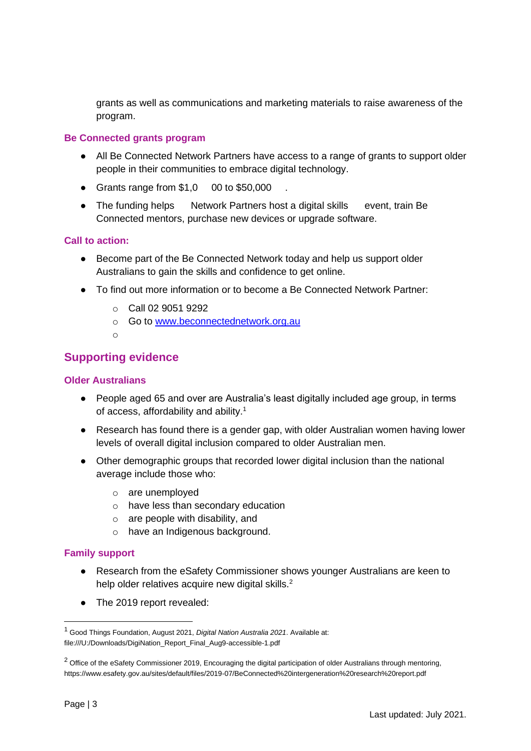grants as well as communications and marketing materials to raise awareness of the program.

### **Be Connected grants program**

- All Be Connected Network Partners have access to a range of grants to support older people in their communities to embrace digital technology.
- Grants range from  $$1,0$  00 to  $$50,000$
- The funding helps Network Partners host a digital skills event, train Be Connected mentors, purchase new devices or upgrade software.

## **Call to action:**

- Become part of the Be Connected Network today and help us support older Australians to gain the skills and confidence to get online.
- To find out more information or to become a Be Connected Network Partner:
	- o Call 02 9051 9292
	- o Go to www.beconnectednetwork.org.au
	- o

# **Supporting evidence**

### **Older Australians**

- People aged 65 and over are Australia's least digitally included age group, in terms of access, affordability and ability.<sup>1</sup>
- Research has found there is a gender gap, with older Australian women having lower levels of overall digital inclusion compared to older Australian men.
- Other demographic groups that recorded lower digital inclusion than the national average include those who:
	- o are unemployed
	- o have less than secondary education
	- o are people with disability, and
	- o have an Indigenous background.

#### **Family support**

- Research from the eSafety Commissioner shows younger Australians are keen to help older relatives acquire new digital skills.<sup>2</sup>
- The 2019 report revealed:

<sup>1</sup> Good Things Foundation, August 2021, *Digital Nation Australia 2021*. Available at: file:///U:/Downloads/DigiNation\_Report\_Final\_Aug9-accessible-1.pdf

<sup>&</sup>lt;sup>2</sup> Office of the eSafety Commissioner 2019, Encouraging the digital participation of older Australians through mentoring, https://www.esafety.gov.au/sites/default/files/2019-07/BeConnected%20intergeneration%20research%20report.pdf